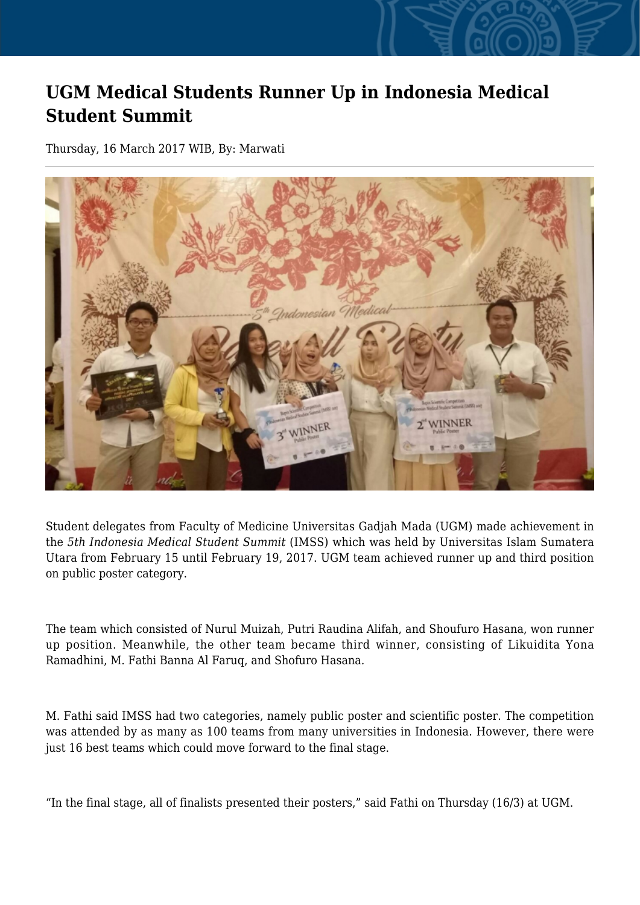## **UGM Medical Students Runner Up in Indonesia Medical Student Summit**

Thursday, 16 March 2017 WIB, By: Marwati



Student delegates from Faculty of Medicine Universitas Gadjah Mada (UGM) made achievement in the *5th Indonesia Medical Student Summit* (IMSS) which was held by Universitas Islam Sumatera Utara from February 15 until February 19, 2017. UGM team achieved runner up and third position on public poster category.

The team which consisted of Nurul Muizah, Putri Raudina Alifah, and Shoufuro Hasana, won runner up position. Meanwhile, the other team became third winner, consisting of Likuidita Yona Ramadhini, M. Fathi Banna Al Faruq, and Shofuro Hasana.

M. Fathi said IMSS had two categories, namely public poster and scientific poster. The competition was attended by as many as 100 teams from many universities in Indonesia. However, there were just 16 best teams which could move forward to the final stage.

"In the final stage, all of finalists presented their posters," said Fathi on Thursday (16/3) at UGM.